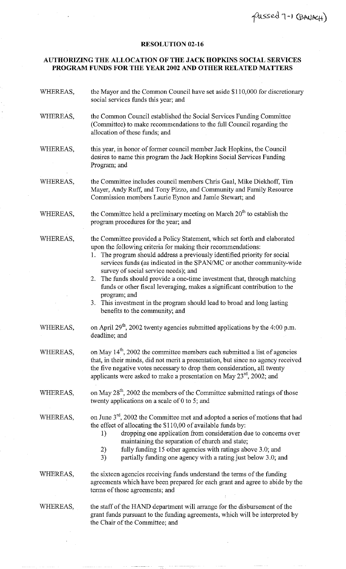## **RESOLUTION 02-16**

## **AUTHORIZING THE ALLOCATION OF THE JACK HOPKINS SOCIAL SERVICES PROGRAM FUNDS FOR THE YEAR 2002 AND OTHER RELATED MATTERS**

| WHEREAS, | the Mayor and the Common Council have set aside \$110,000 for discretionary<br>social services funds this year; and                                                                                                                                                                                                                                                                                                                                                                                                                                                                                                                  |
|----------|--------------------------------------------------------------------------------------------------------------------------------------------------------------------------------------------------------------------------------------------------------------------------------------------------------------------------------------------------------------------------------------------------------------------------------------------------------------------------------------------------------------------------------------------------------------------------------------------------------------------------------------|
| WHEREAS, | the Common Council established the Social Services Funding Committee<br>(Committee) to make recommendations to the full Council regarding the<br>allocation of these funds; and                                                                                                                                                                                                                                                                                                                                                                                                                                                      |
| WHEREAS, | this year, in honor of former council member Jack Hopkins, the Council<br>desires to name this program the Jack Hopkins Social Services Funding<br>Program; and                                                                                                                                                                                                                                                                                                                                                                                                                                                                      |
| WHEREAS, | the Committee includes council members Chris Gaal, Mike Diekhoff, Tim<br>Mayer, Andy Ruff, and Tony Pizzo, and Community and Family Resource<br>Commission members Laurie Eynon and Jamie Stewart; and                                                                                                                                                                                                                                                                                                                                                                                                                               |
| WHEREAS, | the Committee held a preliminary meeting on March 20 <sup>th</sup> to establish the<br>program procedures for the year; and                                                                                                                                                                                                                                                                                                                                                                                                                                                                                                          |
| WHEREAS, | the Committee provided a Policy Statement, which set forth and elaborated<br>upon the following criteria for making their recommendations:<br>The program should address a previously identified priority for social<br>1.<br>services funds (as indicated in the SPAN/MC or another community-wide<br>survey of social service needs); and<br>2. The funds should provide a one-time investment that, through matching<br>funds or other fiscal leveraging, makes a significant contribution to the<br>program; and<br>This investment in the program should lead to broad and long lasting<br>3.<br>benefits to the community; and |
| WHEREAS, | on April $29^{th}$ , 2002 twenty agencies submitted applications by the 4:00 p.m.<br>deadline; and                                                                                                                                                                                                                                                                                                                                                                                                                                                                                                                                   |
| WHEREAS, | on May 14 <sup>th</sup> , 2002 the committee members each submitted a list of agencies<br>that, in their minds, did not merit a presentation, but since no agency received<br>the five negative votes necessary to drop them consideration, all twenty<br>applicants were asked to make a presentation on May $23^{\text{rd}}$ , 2002; and                                                                                                                                                                                                                                                                                           |
| WHEREAS, | on May 28 <sup>th</sup> , 2002 the members of the Committee submitted ratings of those<br>twenty applications on a scale of $0$ to 5; and                                                                                                                                                                                                                                                                                                                                                                                                                                                                                            |
| WHEREAS, | on June 3 <sup>rd</sup> , 2002 the Committee met and adopted a series of motions that had<br>the effect of allocating the \$110,00 of available funds by:<br>dropping one application from consideration due to concerns over<br>1)<br>maintaining the separation of church and state;<br>fully funding 15 other agencies with ratings above 3.0; and<br>2)<br>3)<br>partially funding one agency with a rating just below 3.0; and                                                                                                                                                                                                  |
| WHEREAS, | the sixteen agencies receiving funds understand the terms of the funding<br>agreements which have been prepared for each grant and agree to abide by the<br>terms of those agreements; and                                                                                                                                                                                                                                                                                                                                                                                                                                           |
| WHEREAS, | the staff of the HAND department will arrange for the disbursement of the<br>grant funds pursuant to the funding agreements, which will be interpreted by<br>the Chair of the Committee; and                                                                                                                                                                                                                                                                                                                                                                                                                                         |
|          |                                                                                                                                                                                                                                                                                                                                                                                                                                                                                                                                                                                                                                      |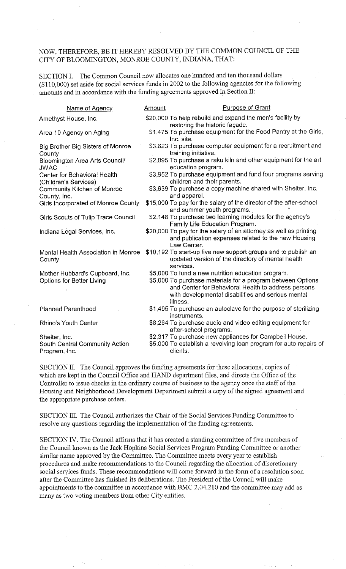## NOW, THEREFORE, BE IT HEREBY RESOLVED BY THE COMMON COUNCIL OF THE CITY OF BLOOMINGTON, MONROE COUNTY, INDIANA, THAT:

SECTION I. The Common Council now allocates one hundred and ten thousand dollars (\$11 0,000) set aside for social services funds in 2002 to the following agencies for the following amounts and in accordance with the funding agreements approved in Section II:

| Name of Agency                                                   | Amount | <b>Purpose of Grant</b>                                                                                                                                                                                                                    |
|------------------------------------------------------------------|--------|--------------------------------------------------------------------------------------------------------------------------------------------------------------------------------------------------------------------------------------------|
| Amethyst House, Inc.                                             |        | \$20,000 To help rebuild and expand the men's facility by<br>restoring the historic façade.                                                                                                                                                |
| Area 10 Agency on Aging                                          |        | \$1,475 To purchase equipment for the Food Pantry at the Girls,<br>Inc. site.                                                                                                                                                              |
| Big Brother Big Sisters of Monroe<br>County                      |        | \$3,623 To purchase computer equipment for a recruitment and<br>training initiative.                                                                                                                                                       |
| Bloomington Area Arts Council/<br><b>JWAC</b>                    |        | \$2,895 To purchase a raku kiln and other equipment for the art<br>education program.                                                                                                                                                      |
| Center for Behavioral Health<br>(Children's Services)            |        | \$3,952 To purchase equipment and fund four programs serving<br>children and their parents.                                                                                                                                                |
| <b>Community Kitchen of Monroe</b><br>County, Inc.               |        | \$3,639 To purchase a copy machine shared with Shelter, Inc.<br>and apparel.                                                                                                                                                               |
| Girls Incorporated of Monroe County                              |        | \$15,000 To pay for the salary of the director of the after-school<br>and summer youth programs.                                                                                                                                           |
| Girls Scouts of Tulip Trace Council                              |        | \$2,148 To purchase two learning modules for the agency's<br>Family Life Education Program.                                                                                                                                                |
| Indiana Legal Services, Inc.                                     |        | \$20,000 To pay for the salary of an attorney as well as printing<br>and publication expenses related to the new Housing<br>Law Center.                                                                                                    |
| Mental Health Association in Monroe<br>County                    |        | \$10,192 To start-up five new support groups and to publish an<br>updated version of the directory of mental health<br>services.                                                                                                           |
| Mother Hubbard's Cupboard, Inc.<br>Options for Better Living     |        | \$5,000 To fund a new nutrition education program.<br>\$5,000 To purchase materials for a program between Options<br>and Center for Behavioral Health to address persons<br>with developmental disabilities and serious mental<br>illness. |
| <b>Planned Parenthood</b>                                        |        | \$1,495 To purchase an autoclave for the purpose of sterilizing<br>instruments.                                                                                                                                                            |
| Rhino's Youth Center                                             |        | \$8,264 To purchase audio and video editing equipment for<br>after-school programs.                                                                                                                                                        |
| Shelter, Inc.<br>South Central Community Action<br>Program, Inc. |        | \$2,317 To purchase new appliances for Campbell House.<br>\$5,000 To establish a revolving loan program for auto repairs of<br>clients.                                                                                                    |

SECTION II. The Council approves the funding agreements for these allocations, copies of which are kept in the Council Office and HAND department files, and directs the Office of the Controller to issue checks in the ordinary course of business to the agency once the staff of the Housing and Neighborhood Development Department submit a copy of the signed agreement and the appropriate purchase orders.

SECTION III. The Council authorizes the Chair of the Social Services Funding Committee to resolve any questions regarding the implementation of the funding agreements.

SECTION *N.* The Council affirms that it has created a standing committee of five members of the Council known as the Jack Hopkins Social Services Program Funding Committee or another similar name approved by the Committee. The Committee meets every year to establish procedures and make recommendations to the Council regarding the allocation of discretionary social services funds. These recommendations will come forward in the form of a resolution soon after the Committee has finished its deliberations. The President of the Council will make appointments to the committee in accordance with BMC 2.04.210 and the committee may add as many as two voting members from other City entities.